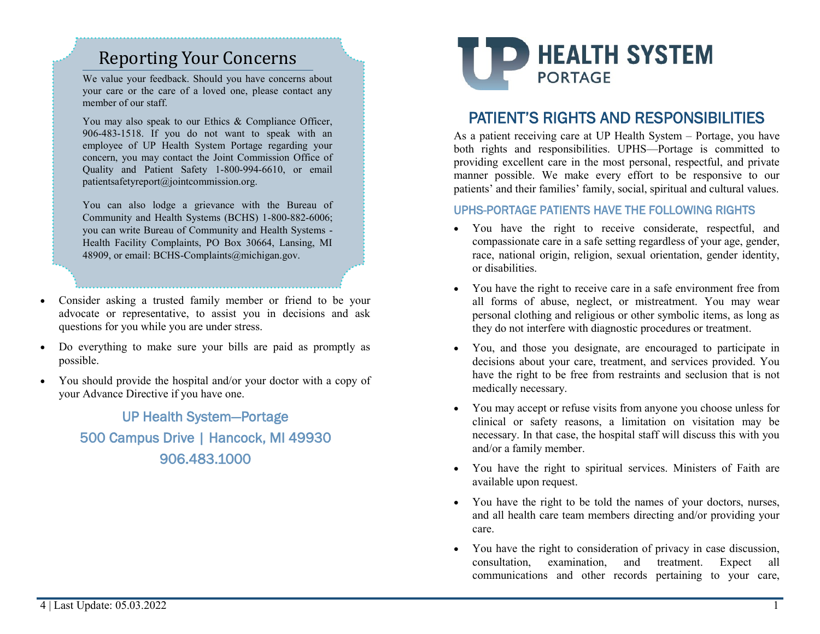## Reporting Your Concerns

We value your feedback. Should you have concerns about your care or the care of a loved one, please contact any member of our staff.

You may also speak to our Ethics & Compliance Officer, 906-483-1518. If you do not want to speak with an employee of UP Health System Portage regarding your concern, you may contact the Joint Commission Office of Quality and Patient Safety 1-800-994-6610, or email patientsafetyreport@jointcommission.org.

You can also lodge a grievance with the Bureau of Community and Health Systems (BCHS) 1-800-882-6006; you can write Bureau of Community and Health Systems - Health Facility Complaints, PO Box 30664, Lansing, MI 48909, or email: BCHS-Complaints@michigan.gov.

- Consider asking a trusted family member or friend to be your advocate or representative, to assist you in decisions and ask questions for you while you are under stress.
- Do everything to make sure your bills are paid as promptly as possible.
- You should provide the hospital and/or your doctor with a copy of your Advance Directive if you have one.

UP Health System—Portage 500 Campus Drive | Hancock, MI 49930 906.483.1000



## PATIENT'S RIGHTS AND RESPONSIBILITIES

As a patient receiving care at UP Health System – Portage, you have both rights and responsibilities. UPHS—Portage is committed to providing excellent care in the most personal, respectful, and private manner possible. We make every effort to be responsive to our patients' and their families' family, social, spiritual and cultural values.

## UPHS-PORTAGE PATIENTS HAVE THE FOLLOWING RIGHTS

- You have the right to receive considerate, respectful, and compassionate care in a safe setting regardless of your age, gender, race, national origin, religion, sexual orientation, gender identity, or disabilities.
- You have the right to receive care in a safe environment free from all forms of abuse, neglect, or mistreatment. You may wear personal clothing and religious or other symbolic items, as long as they do not interfere with diagnostic procedures or treatment.
- You, and those you designate, are encouraged to participate in decisions about your care, treatment, and services provided. You have the right to be free from restraints and seclusion that is not medically necessary.
- You may accept or refuse visits from anyone you choose unless for clinical or safety reasons, a limitation on visitation may be necessary. In that case, the hospital staff will discuss this with you and/or a family member.
- You have the right to spiritual services. Ministers of Faith are available upon request.
- You have the right to be told the names of your doctors, nurses, and all health care team members directing and/or providing your care.
- You have the right to consideration of privacy in case discussion, consultation, examination, and treatment. Expect all communications and other records pertaining to your care,